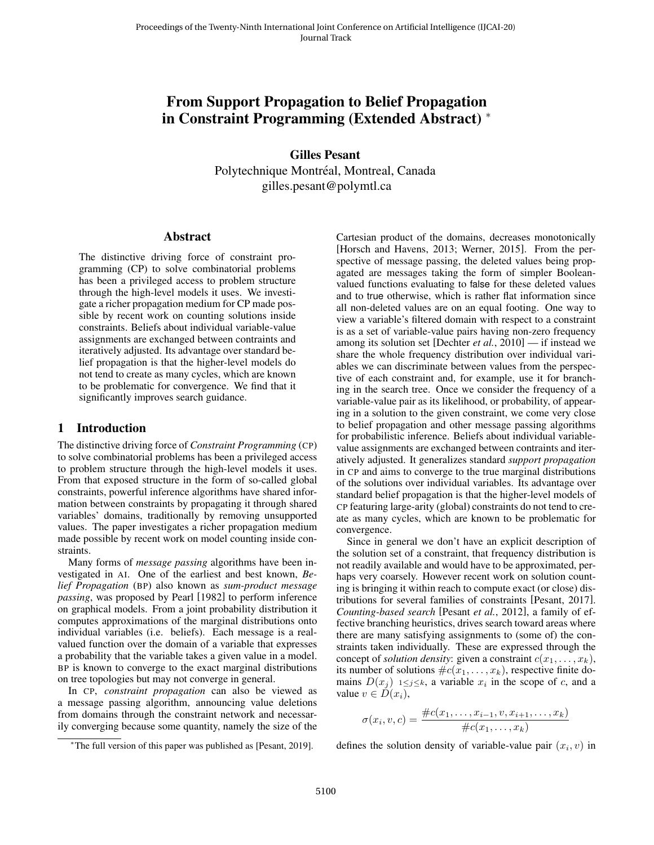# From Support Propagation to Belief Propagation in Constraint Programming (Extended Abstract) <sup>∗</sup>

Gilles Pesant Polytechnique Montreal, Montreal, Canada ´ gilles.pesant@polymtl.ca

#### Abstract

The distinctive driving force of constraint programming (CP) to solve combinatorial problems has been a privileged access to problem structure through the high-level models it uses. We investigate a richer propagation medium for CP made possible by recent work on counting solutions inside constraints. Beliefs about individual variable-value assignments are exchanged between contraints and iteratively adjusted. Its advantage over standard belief propagation is that the higher-level models do not tend to create as many cycles, which are known to be problematic for convergence. We find that it significantly improves search guidance.

### 1 Introduction

The distinctive driving force of *Constraint Programming* (CP) to solve combinatorial problems has been a privileged access to problem structure through the high-level models it uses. From that exposed structure in the form of so-called global constraints, powerful inference algorithms have shared information between constraints by propagating it through shared variables' domains, traditionally by removing unsupported values. The paper investigates a richer propagation medium made possible by recent work on model counting inside constraints.

Many forms of *message passing* algorithms have been investigated in AI. One of the earliest and best known, *Belief Propagation* (BP) also known as *sum-product message passing*, was proposed by Pearl [\[1982\]](#page-4-0) to perform inference on graphical models. From a joint probability distribution it computes approximations of the marginal distributions onto individual variables (i.e. beliefs). Each message is a realvalued function over the domain of a variable that expresses a probability that the variable takes a given value in a model. BP is known to converge to the exact marginal distributions on tree topologies but may not converge in general.

In CP, *constraint propagation* can also be viewed as a message passing algorithm, announcing value deletions from domains through the constraint network and necessarily converging because some quantity, namely the size of the Cartesian product of the domains, decreases monotonically [\[Horsch and Havens, 2013;](#page-4-1) [Werner, 2015\]](#page-4-2). From the perspective of message passing, the deleted values being propagated are messages taking the form of simpler Booleanvalued functions evaluating to false for these deleted values and to true otherwise, which is rather flat information since all non-deleted values are on an equal footing. One way to view a variable's filtered domain with respect to a constraint is as a set of variable-value pairs having non-zero frequency among its solution set [\[Dechter](#page-4-3) *et al.*, 2010] — if instead we share the whole frequency distribution over individual variables we can discriminate between values from the perspective of each constraint and, for example, use it for branching in the search tree. Once we consider the frequency of a variable-value pair as its likelihood, or probability, of appearing in a solution to the given constraint, we come very close to belief propagation and other message passing algorithms for probabilistic inference. Beliefs about individual variablevalue assignments are exchanged between contraints and iteratively adjusted. It generalizes standard *support propagation* in CP and aims to converge to the true marginal distributions of the solutions over individual variables. Its advantage over standard belief propagation is that the higher-level models of CP featuring large-arity (global) constraints do not tend to create as many cycles, which are known to be problematic for convergence.

Since in general we don't have an explicit description of the solution set of a constraint, that frequency distribution is not readily available and would have to be approximated, perhaps very coarsely. However recent work on solution counting is bringing it within reach to compute exact (or close) distributions for several families of constraints [\[Pesant, 2017\]](#page-4-4). *Counting-based search* [\[Pesant](#page-4-5) *et al.*, 2012], a family of effective branching heuristics, drives search toward areas where there are many satisfying assignments to (some of) the constraints taken individually. These are expressed through the concept of *solution density*: given a constraint  $c(x_1, \ldots, x_k)$ , its number of solutions  $\#c(x_1, \ldots, x_k)$ , respective finite domains  $D(x_j)$  1≤j≤k, a variable  $x_i$  in the scope of c, and a value  $v \in D(x_i)$ ,

$$
\sigma(x_i, v, c) = \frac{\#c(x_1, \dots, x_{i-1}, v, x_{i+1}, \dots, x_k)}{\#c(x_1, \dots, x_k)}
$$

defines the solution density of variable-value pair  $(x_i, v)$  in

<sup>∗</sup>The full version of this paper was published as [Pesant, 2019].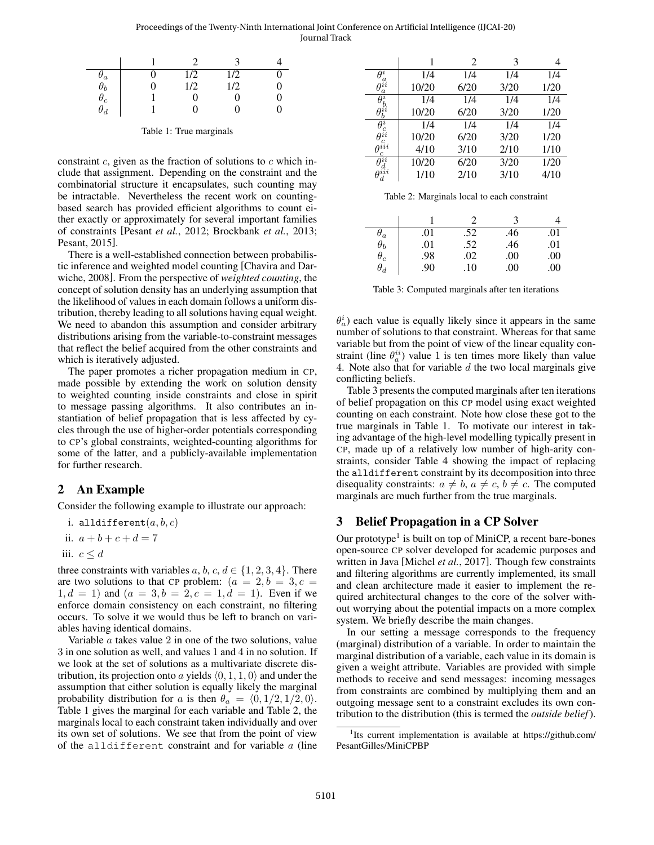Proceedings of the Twenty-Ninth International Joint Conference on Artificial Intelligence (IJCAI-20) Journal Track

<span id="page-1-0"></span>

|                                                                         |   | 1/2      | 1/2 |   |
|-------------------------------------------------------------------------|---|----------|-----|---|
|                                                                         | 0 | 1/2      | 1/2 | 0 |
| $\begin{matrix} \sigma_a \ \theta_b \ \theta_c \ \theta_d \end{matrix}$ |   | $\Omega$ |     | 0 |
|                                                                         |   | O        |     | 0 |

Table 1: True marginals

constraint  $c$ , given as the fraction of solutions to  $c$  which include that assignment. Depending on the constraint and the combinatorial structure it encapsulates, such counting may be intractable. Nevertheless the recent work on countingbased search has provided efficient algorithms to count either exactly or approximately for several important families of constraints [\[Pesant](#page-4-5) *et al.*, 2012; [Brockbank](#page-4-6) *et al.*, 2013; [Pesant, 2015\]](#page-4-7).

There is a well-established connection between probabilistic inference and weighted model counting [\[Chavira and Dar](#page-4-8)[wiche, 2008\]](#page-4-8). From the perspective of *weighted counting*, the concept of solution density has an underlying assumption that the likelihood of values in each domain follows a uniform distribution, thereby leading to all solutions having equal weight. We need to abandon this assumption and consider arbitrary distributions arising from the variable-to-constraint messages that reflect the belief acquired from the other constraints and which is iteratively adjusted.

The paper promotes a richer propagation medium in CP, made possible by extending the work on solution density to weighted counting inside constraints and close in spirit to message passing algorithms. It also contributes an instantiation of belief propagation that is less affected by cycles through the use of higher-order potentials corresponding to CP's global constraints, weighted-counting algorithms for some of the latter, and a publicly-available implementation for further research.

# 2 An Example

Consider the following example to illustrate our approach:

i. alldifferent $(a, b, c)$ 

ii.  $a + b + c + d = 7$ 

iii. 
$$
c \leq d
$$

three constraints with variables  $a, b, c, d \in \{1, 2, 3, 4\}$ . There are two solutions to that CP problem:  $(a = 2, b = 3, c = 1)$  $1, d = 1$ ) and  $(a = 3, b = 2, c = 1, d = 1)$ . Even if we enforce domain consistency on each constraint, no filtering occurs. To solve it we would thus be left to branch on variables having identical domains.

Variable  $a$  takes value  $2$  in one of the two solutions, value 3 in one solution as well, and values 1 and 4 in no solution. If we look at the set of solutions as a multivariate discrete distribution, its projection onto a yields  $(0, 1, 1, 0)$  and under the assumption that either solution is equally likely the marginal probability distribution for a is then  $\theta_a = \langle 0, 1/2, 1/2, 0 \rangle$ . Table [1](#page-1-0) gives the marginal for each variable and Table [2,](#page-1-1) the marginals local to each constraint taken individually and over its own set of solutions. We see that from the point of view of the alldifferent constraint and for variable  $a$  (line

<span id="page-1-1"></span>

|                                                     |       | 2    | 3    |      |
|-----------------------------------------------------|-------|------|------|------|
| $\theta^i$                                          | 1/4   | 1/4  | 1/4  | 1/4  |
| $\overset{\sigma}{\theta^{ii}}$<br>$\boldsymbol{a}$ | 10/20 | 6/20 | 3/20 | 1/20 |
| $\theta_b^i$                                        | 1/4   | 1/4  | 1/4  | 1/4  |
| $\theta_b^{ii}$                                     | 10/20 | 6/20 | 3/20 | 1/20 |
|                                                     | 1/4   | 1/4  | 1/4  | 1/4  |
| $\bar{\theta}^i_c \theta^{ii}_c$                    | 10/20 | 6/20 | 3/20 | 1/20 |
| $\theta^{iii}$                                      | 4/10  | 3/10 | 2/10 | 1/10 |
| $\theta^{ii}$                                       | 10/20 | 6/20 | 3/20 | 1/20 |
| $\overset{\circ}{\theta}$ <sup>d</sup>              | 1/10  | 2/10 | 3/10 | 4/10 |

Table 2: Marginals local to each constraint

<span id="page-1-2"></span>

|                                                                         |     |     | 3   |     |
|-------------------------------------------------------------------------|-----|-----|-----|-----|
|                                                                         | .01 | .52 | .46 | .01 |
|                                                                         | .01 | .52 | .46 | .01 |
| $\begin{matrix} \theta_a \ \theta_b \ \theta_c \ \theta_d \end{matrix}$ | .98 | .02 | .00 | .00 |
|                                                                         | .90 | .10 | .00 | .00 |

Table 3: Computed marginals after ten iterations

 $\theta_a^i$ ) each value is equally likely since it appears in the same number of solutions to that constraint. Whereas for that same variable but from the point of view of the linear equality constraint (line  $\theta_a^{ii}$ ) value 1 is ten times more likely than value 4. Note also that for variable  $d$  the two local marginals give conflicting beliefs.

Table [3](#page-1-2) presents the computed marginals after ten iterations of belief propagation on this CP model using exact weighted counting on each constraint. Note how close these got to the true marginals in Table [1.](#page-1-0) To motivate our interest in taking advantage of the high-level modelling typically present in CP, made up of a relatively low number of high-arity constraints, consider Table [4](#page-2-0) showing the impact of replacing the alldifferent constraint by its decomposition into three disequality constraints:  $a \neq b$ ,  $a \neq c$ ,  $b \neq c$ . The computed marginals are much further from the true marginals.

# 3 Belief Propagation in a CP Solver

Our prototype<sup>[1](#page-1-3)</sup> is built on top of MiniCP, a recent bare-bones open-source CP solver developed for academic purposes and written in Java [\[Michel](#page-4-9) *et al.*, 2017]. Though few constraints and filtering algorithms are currently implemented, its small and clean architecture made it easier to implement the required architectural changes to the core of the solver without worrying about the potential impacts on a more complex system. We briefly describe the main changes.

In our setting a message corresponds to the frequency (marginal) distribution of a variable. In order to maintain the marginal distribution of a variable, each value in its domain is given a weight attribute. Variables are provided with simple methods to receive and send messages: incoming messages from constraints are combined by multiplying them and an outgoing message sent to a constraint excludes its own contribution to the distribution (this is termed the *outside belief*).

<span id="page-1-3"></span><sup>&</sup>lt;sup>1</sup>Its current implementation is available at [https://github.com/](https://github.com/PesantGilles/MiniCPBP) [PesantGilles/MiniCPBP](https://github.com/PesantGilles/MiniCPBP)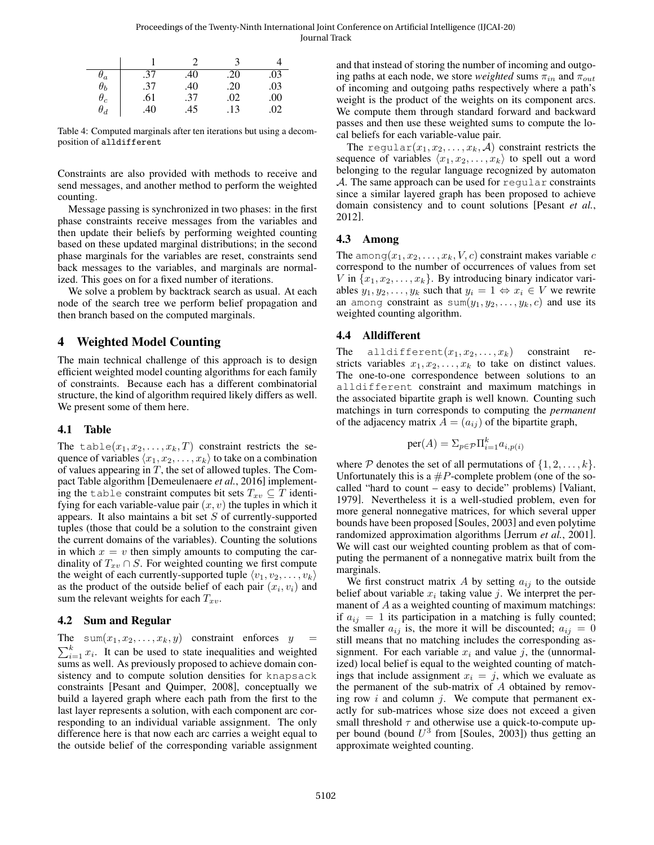Proceedings of the Twenty-Ninth International Joint Conference on Artificial Intelligence (IJCAI-20) Journal Track

<span id="page-2-0"></span>

| $\sigma_a$ | .37 | .40 | .20 | .03 |
|------------|-----|-----|-----|-----|
| $\theta_b$ | .37 | .40 | .20 | .03 |
| $\theta_c$ | .61 | .37 | .02 | .00 |
| $\theta_d$ | .40 | .45 | .13 | .02 |

Table 4: Computed marginals after ten iterations but using a decomposition of alldifferent

Constraints are also provided with methods to receive and send messages, and another method to perform the weighted counting.

Message passing is synchronized in two phases: in the first phase constraints receive messages from the variables and then update their beliefs by performing weighted counting based on these updated marginal distributions; in the second phase marginals for the variables are reset, constraints send back messages to the variables, and marginals are normalized. This goes on for a fixed number of iterations.

We solve a problem by backtrack search as usual. At each node of the search tree we perform belief propagation and then branch based on the computed marginals.

# 4 Weighted Model Counting

The main technical challenge of this approach is to design efficient weighted model counting algorithms for each family of constraints. Because each has a different combinatorial structure, the kind of algorithm required likely differs as well. We present some of them here.

## 4.1 Table

The table $(x_1, x_2, \ldots, x_k, T)$  constraint restricts the sequence of variables  $\langle x_1, x_2, \ldots, x_k \rangle$  to take on a combination of values appearing in  $T$ , the set of allowed tuples. The Compact Table algorithm [\[Demeulenaere](#page-4-10) *et al.*, 2016] implementing the table constraint computes bit sets  $T_{xv} \subseteq T$  identifying for each variable-value pair  $(x, v)$  the tuples in which it appears. It also maintains a bit set  $S$  of currently-supported tuples (those that could be a solution to the constraint given the current domains of the variables). Counting the solutions in which  $x = v$  then simply amounts to computing the cardinality of  $T_{xv} \cap S$ . For weighted counting we first compute the weight of each currently-supported tuple  $\langle v_1, v_2, \ldots, v_k \rangle$ as the product of the outside belief of each pair  $(x_i, v_i)$  and sum the relevant weights for each  $T_{xv}$ .

## 4.2 Sum and Regular

The sum $(x_1, x_2, \ldots, x_k, y)$  constraint enforces  $y =$  $\sum_{i=1}^{k} x_i$ . It can be used to state inequalities and weighted sums as well. As previously proposed to achieve domain consistency and to compute solution densities for knapsack constraints [\[Pesant and Quimper, 2008\]](#page-4-11), conceptually we build a layered graph where each path from the first to the last layer represents a solution, with each component arc corresponding to an individual variable assignment. The only difference here is that now each arc carries a weight equal to the outside belief of the corresponding variable assignment and that instead of storing the number of incoming and outgoing paths at each node, we store *weighted* sums  $\pi_{in}$  and  $\pi_{out}$ of incoming and outgoing paths respectively where a path's weight is the product of the weights on its component arcs. We compute them through standard forward and backward passes and then use these weighted sums to compute the local beliefs for each variable-value pair.

The regular $(x_1, x_2, \ldots, x_k, \mathcal{A})$  constraint restricts the sequence of variables  $\langle x_1, x_2, \ldots, x_k \rangle$  to spell out a word belonging to the regular language recognized by automaton  $A$ . The same approach can be used for regular constraints since a similar layered graph has been proposed to achieve domain consistency and to count solutions [\[Pesant](#page-4-5) *et al.*, [2012\]](#page-4-5).

## 4.3 Among

The among $(x_1, x_2, \ldots, x_k, V, c)$  constraint makes variable c correspond to the number of occurrences of values from set V in  $\{x_1, x_2, \ldots, x_k\}$ . By introducing binary indicator variables  $y_1, y_2, \ldots, y_k$  such that  $y_i = 1 \Leftrightarrow x_i \in V$  we rewrite an among constraint as  $sum(y_1, y_2, \ldots, y_k, c)$  and use its weighted counting algorithm.

### 4.4 Alldifferent

The alldifferent $(x_1, x_2, \ldots, x_k)$  constraint restricts variables  $x_1, x_2, \ldots, x_k$  to take on distinct values. The one-to-one correspondence between solutions to an alldifferent constraint and maximum matchings in the associated bipartite graph is well known. Counting such matchings in turn corresponds to computing the *permanent* of the adjacency matrix  $A = (a_{ij})$  of the bipartite graph,

$$
\text{per}(A) = \sum_{p \in \mathcal{P}} \prod_{i=1}^{k} a_{i, p(i)}
$$

where  $P$  denotes the set of all permutations of  $\{1, 2, \ldots, k\}$ . Unfortunately this is a  $\#P$ -complete problem (one of the socalled "hard to count – easy to decide" problems) [\[Valiant,](#page-4-12) [1979\]](#page-4-12). Nevertheless it is a well-studied problem, even for more general nonnegative matrices, for which several upper bounds have been proposed [\[Soules, 2003\]](#page-4-13) and even polytime randomized approximation algorithms [\[Jerrum](#page-4-14) *et al.*, 2001]. We will cast our weighted counting problem as that of computing the permanent of a nonnegative matrix built from the marginals.

We first construct matrix A by setting  $a_{ij}$  to the outside belief about variable  $x_i$  taking value j. We interpret the permanent of  $A$  as a weighted counting of maximum matchings: if  $a_{ij} = 1$  its participation in a matching is fully counted; the smaller  $a_{ij}$  is, the more it will be discounted;  $a_{ij} = 0$ still means that no matching includes the corresponding assignment. For each variable  $x_i$  and value j, the (unnormalized) local belief is equal to the weighted counting of matchings that include assignment  $x_i = j$ , which we evaluate as the permanent of the sub-matrix of  $A$  obtained by removing row  $i$  and column  $j$ . We compute that permanent exactly for sub-matrices whose size does not exceed a given small threshold  $\tau$  and otherwise use a quick-to-compute upper bound (bound  $U^3$  from [\[Soules, 2003\]](#page-4-13)) thus getting an approximate weighted counting.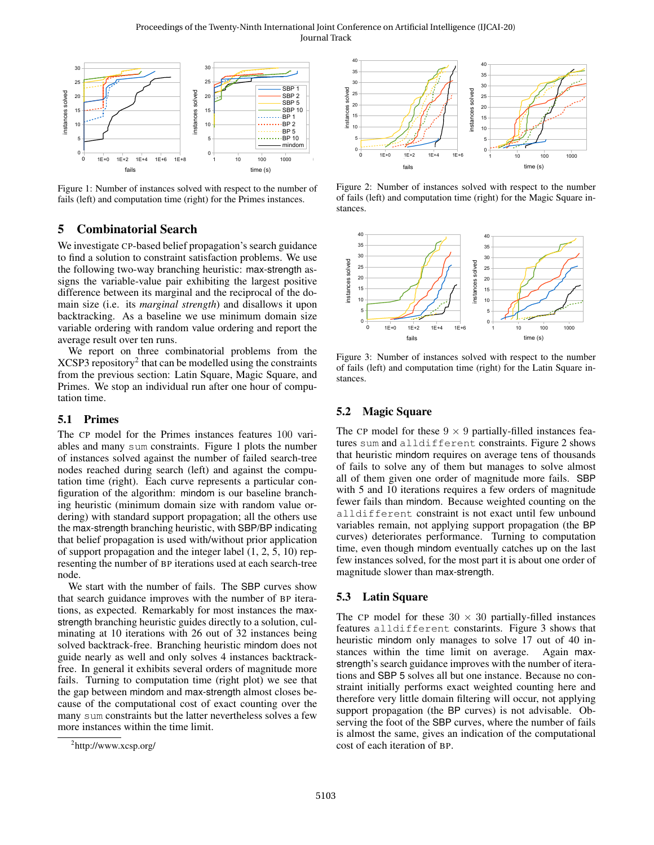Proceedings of the Twenty-Ninth International Joint Conference on Artificial Intelligence (IJCAI-20) Journal Track

<span id="page-3-1"></span>

Figure 1: Number of instances solved with respect to the number of fails (left) and computation time (right) for the Primes instances.

# 5 Combinatorial Search

We investigate CP-based belief propagation's search guidance to find a solution to constraint satisfaction problems. We use the following two-way branching heuristic: max-strength assigns the variable-value pair exhibiting the largest positive difference between its marginal and the reciprocal of the domain size (i.e. its *marginal strength*) and disallows it upon backtracking. As a baseline we use minimum domain size variable ordering with random value ordering and report the average result over ten runs.

We report on three combinatorial problems from the  $XCSP3$  repository<sup>[2](#page-3-0)</sup> that can be modelled using the constraints from the previous section: Latin Square, Magic Square, and Primes. We stop an individual run after one hour of computation time.

#### 5.1 Primes

The CP model for the Primes instances features 100 variables and many sum constraints. Figure [1](#page-3-1) plots the number of instances solved against the number of failed search-tree nodes reached during search (left) and against the computation time (right). Each curve represents a particular configuration of the algorithm: mindom is our baseline branching heuristic (minimum domain size with random value ordering) with standard support propagation; all the others use the max-strength branching heuristic, with SBP/BP indicating that belief propagation is used with/without prior application of support propagation and the integer label (1, 2, 5, 10) representing the number of BP iterations used at each search-tree node.

We start with the number of fails. The SBP curves show that search guidance improves with the number of BP iterations, as expected. Remarkably for most instances the maxstrength branching heuristic guides directly to a solution, culminating at 10 iterations with 26 out of 32 instances being solved backtrack-free. Branching heuristic mindom does not guide nearly as well and only solves 4 instances backtrackfree. In general it exhibits several orders of magnitude more fails. Turning to computation time (right plot) we see that the gap between mindom and max-strength almost closes because of the computational cost of exact counting over the many sum constraints but the latter nevertheless solves a few more instances within the time limit.

<span id="page-3-2"></span>

Figure 2: Number of instances solved with respect to the number of fails (left) and computation time (right) for the Magic Square instances.

<span id="page-3-3"></span>

Figure 3: Number of instances solved with respect to the number of fails (left) and computation time (right) for the Latin Square instances.

#### 5.2 Magic Square

The CP model for these  $9 \times 9$  partially-filled instances features sum and alldifferent constraints. Figure [2](#page-3-2) shows that heuristic mindom requires on average tens of thousands of fails to solve any of them but manages to solve almost all of them given one order of magnitude more fails. SBP with 5 and 10 iterations requires a few orders of magnitude fewer fails than mindom. Because weighted counting on the alldifferent constraint is not exact until few unbound variables remain, not applying support propagation (the BP curves) deteriorates performance. Turning to computation time, even though mindom eventually catches up on the last few instances solved, for the most part it is about one order of magnitude slower than max-strength.

### 5.3 Latin Square

The CP model for these  $30 \times 30$  partially-filled instances features alldifferent constarints. Figure [3](#page-3-3) shows that heuristic mindom only manages to solve 17 out of 40 instances within the time limit on average. Again maxstrength's search guidance improves with the number of iterations and SBP 5 solves all but one instance. Because no constraint initially performs exact weighted counting here and therefore very little domain filtering will occur, not applying support propagation (the BP curves) is not advisable. Observing the foot of the SBP curves, where the number of fails is almost the same, gives an indication of the computational cost of each iteration of BP.

<span id="page-3-0"></span><sup>&</sup>lt;sup>2</sup><http://www.xcsp.org/>